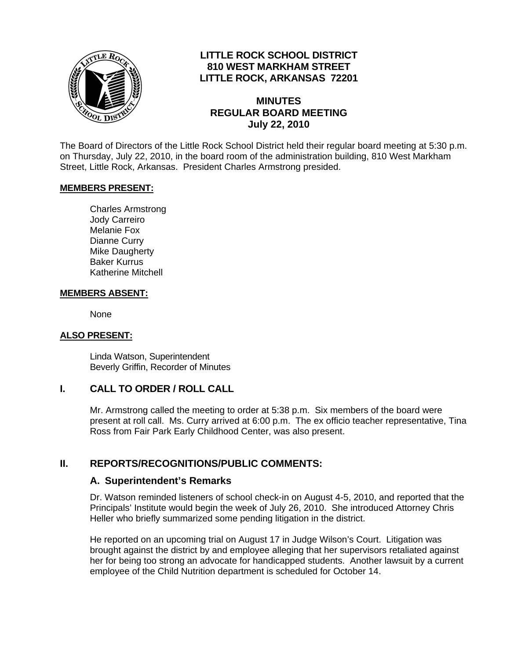

## **LITTLE ROCK SCHOOL DISTRICT 810 WEST MARKHAM STREET LITTLE ROCK, ARKANSAS 72201**

#### **MINUTES REGULAR BOARD MEETING July 22, 2010**

The Board of Directors of the Little Rock School District held their regular board meeting at 5:30 p.m. on Thursday, July 22, 2010, in the board room of the administration building, 810 West Markham Street, Little Rock, Arkansas. President Charles Armstrong presided.

#### **MEMBERS PRESENT:**

Charles Armstrong Jody Carreiro Melanie Fox Dianne Curry Mike Daugherty Baker Kurrus Katherine Mitchell

#### **MEMBERS ABSENT:**

None

#### **ALSO PRESENT:**

 Linda Watson, Superintendent Beverly Griffin, Recorder of Minutes

### **I. CALL TO ORDER / ROLL CALL**

Mr. Armstrong called the meeting to order at 5:38 p.m. Six members of the board were present at roll call. Ms. Curry arrived at 6:00 p.m. The ex officio teacher representative, Tina Ross from Fair Park Early Childhood Center, was also present.

### **II. REPORTS/RECOGNITIONS/PUBLIC COMMENTS:**

#### **A. Superintendent's Remarks**

Dr. Watson reminded listeners of school check-in on August 4-5, 2010, and reported that the Principals' Institute would begin the week of July 26, 2010. She introduced Attorney Chris Heller who briefly summarized some pending litigation in the district.

He reported on an upcoming trial on August 17 in Judge Wilson's Court. Litigation was brought against the district by and employee alleging that her supervisors retaliated against her for being too strong an advocate for handicapped students. Another lawsuit by a current employee of the Child Nutrition department is scheduled for October 14.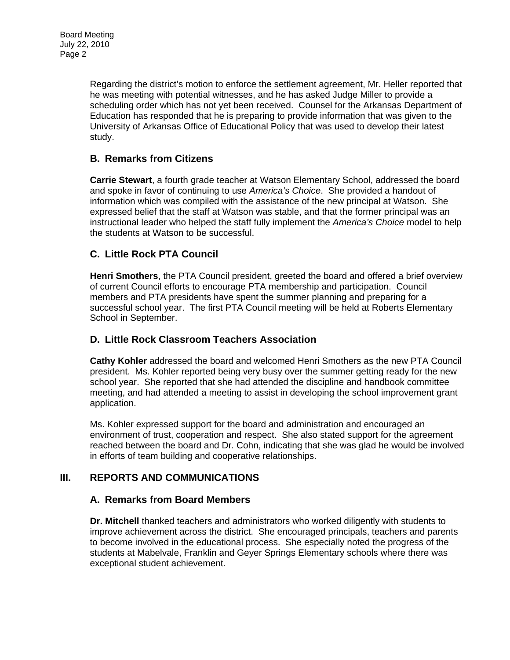Regarding the district's motion to enforce the settlement agreement, Mr. Heller reported that he was meeting with potential witnesses, and he has asked Judge Miller to provide a scheduling order which has not yet been received. Counsel for the Arkansas Department of Education has responded that he is preparing to provide information that was given to the University of Arkansas Office of Educational Policy that was used to develop their latest study.

## **B. Remarks from Citizens**

**Carrie Stewart**, a fourth grade teacher at Watson Elementary School, addressed the board and spoke in favor of continuing to use *America's Choice*. She provided a handout of information which was compiled with the assistance of the new principal at Watson. She expressed belief that the staff at Watson was stable, and that the former principal was an instructional leader who helped the staff fully implement the *America's Choice* model to help the students at Watson to be successful.

# **C. Little Rock PTA Council**

**Henri Smothers**, the PTA Council president, greeted the board and offered a brief overview of current Council efforts to encourage PTA membership and participation. Council members and PTA presidents have spent the summer planning and preparing for a successful school year. The first PTA Council meeting will be held at Roberts Elementary School in September.

### **D. Little Rock Classroom Teachers Association**

**Cathy Kohler** addressed the board and welcomed Henri Smothers as the new PTA Council president. Ms. Kohler reported being very busy over the summer getting ready for the new school year. She reported that she had attended the discipline and handbook committee meeting, and had attended a meeting to assist in developing the school improvement grant application.

Ms. Kohler expressed support for the board and administration and encouraged an environment of trust, cooperation and respect. She also stated support for the agreement reached between the board and Dr. Cohn, indicating that she was glad he would be involved in efforts of team building and cooperative relationships.

# **III. REPORTS AND COMMUNICATIONS**

### **A. Remarks from Board Members**

**Dr. Mitchell** thanked teachers and administrators who worked diligently with students to improve achievement across the district. She encouraged principals, teachers and parents to become involved in the educational process. She especially noted the progress of the students at Mabelvale, Franklin and Geyer Springs Elementary schools where there was exceptional student achievement.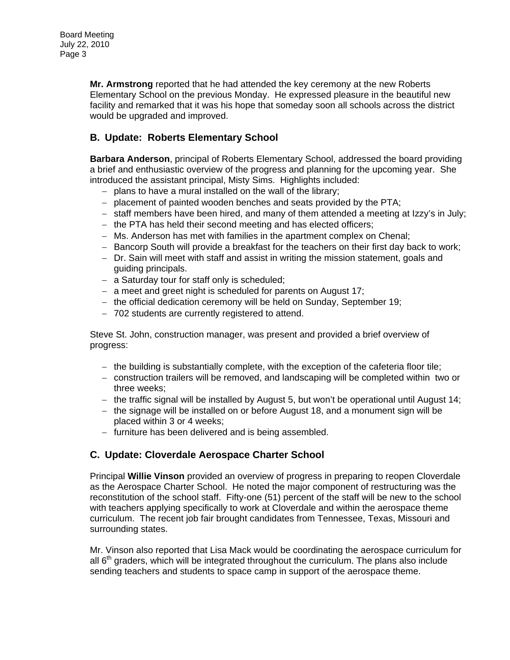**Mr. Armstrong** reported that he had attended the key ceremony at the new Roberts Elementary School on the previous Monday. He expressed pleasure in the beautiful new facility and remarked that it was his hope that someday soon all schools across the district would be upgraded and improved.

## **B. Update: Roberts Elementary School**

**Barbara Anderson**, principal of Roberts Elementary School, addressed the board providing a brief and enthusiastic overview of the progress and planning for the upcoming year. She introduced the assistant principal, Misty Sims. Highlights included:

- − plans to have a mural installed on the wall of the library;
- − placement of painted wooden benches and seats provided by the PTA;
- − staff members have been hired, and many of them attended a meeting at Izzy's in July;
- − the PTA has held their second meeting and has elected officers;
- − Ms. Anderson has met with families in the apartment complex on Chenal;
- − Bancorp South will provide a breakfast for the teachers on their first day back to work;
- − Dr. Sain will meet with staff and assist in writing the mission statement, goals and guiding principals.
- − a Saturday tour for staff only is scheduled;
- − a meet and greet night is scheduled for parents on August 17;
- − the official dedication ceremony will be held on Sunday, September 19;
- − 702 students are currently registered to attend.

Steve St. John, construction manager, was present and provided a brief overview of progress:

- − the building is substantially complete, with the exception of the cafeteria floor tile;
- − construction trailers will be removed, and landscaping will be completed within two or three weeks;
- − the traffic signal will be installed by August 5, but won't be operational until August 14;
- − the signage will be installed on or before August 18, and a monument sign will be placed within 3 or 4 weeks;
- − furniture has been delivered and is being assembled.

### **C. Update: Cloverdale Aerospace Charter School**

Principal **Willie Vinson** provided an overview of progress in preparing to reopen Cloverdale as the Aerospace Charter School. He noted the major component of restructuring was the reconstitution of the school staff. Fifty-one (51) percent of the staff will be new to the school with teachers applying specifically to work at Cloverdale and within the aerospace theme curriculum. The recent job fair brought candidates from Tennessee, Texas, Missouri and surrounding states.

Mr. Vinson also reported that Lisa Mack would be coordinating the aerospace curriculum for all  $6<sup>th</sup>$  graders, which will be integrated throughout the curriculum. The plans also include sending teachers and students to space camp in support of the aerospace theme.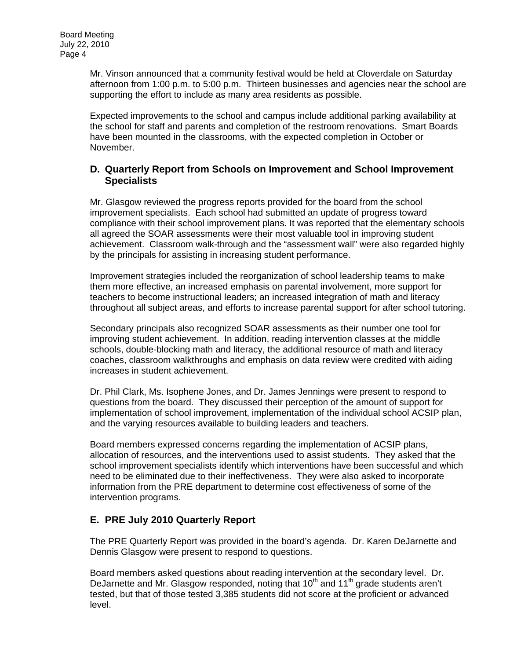Mr. Vinson announced that a community festival would be held at Cloverdale on Saturday afternoon from 1:00 p.m. to 5:00 p.m. Thirteen businesses and agencies near the school are supporting the effort to include as many area residents as possible.

Expected improvements to the school and campus include additional parking availability at the school for staff and parents and completion of the restroom renovations. Smart Boards have been mounted in the classrooms, with the expected completion in October or November.

#### **D. Quarterly Report from Schools on Improvement and School Improvement Specialists**

Mr. Glasgow reviewed the progress reports provided for the board from the school improvement specialists. Each school had submitted an update of progress toward compliance with their school improvement plans. It was reported that the elementary schools all agreed the SOAR assessments were their most valuable tool in improving student achievement. Classroom walk-through and the "assessment wall" were also regarded highly by the principals for assisting in increasing student performance.

Improvement strategies included the reorganization of school leadership teams to make them more effective, an increased emphasis on parental involvement, more support for teachers to become instructional leaders; an increased integration of math and literacy throughout all subject areas, and efforts to increase parental support for after school tutoring.

Secondary principals also recognized SOAR assessments as their number one tool for improving student achievement. In addition, reading intervention classes at the middle schools, double-blocking math and literacy, the additional resource of math and literacy coaches, classroom walkthroughs and emphasis on data review were credited with aiding increases in student achievement.

Dr. Phil Clark, Ms. Isophene Jones, and Dr. James Jennings were present to respond to questions from the board. They discussed their perception of the amount of support for implementation of school improvement, implementation of the individual school ACSIP plan, and the varying resources available to building leaders and teachers.

Board members expressed concerns regarding the implementation of ACSIP plans, allocation of resources, and the interventions used to assist students. They asked that the school improvement specialists identify which interventions have been successful and which need to be eliminated due to their ineffectiveness. They were also asked to incorporate information from the PRE department to determine cost effectiveness of some of the intervention programs.

# **E. PRE July 2010 Quarterly Report**

The PRE Quarterly Report was provided in the board's agenda. Dr. Karen DeJarnette and Dennis Glasgow were present to respond to questions.

Board members asked questions about reading intervention at the secondary level. Dr. DeJarnette and Mr. Glasgow responded, noting that  $10<sup>th</sup>$  and  $11<sup>th</sup>$  grade students aren't tested, but that of those tested 3,385 students did not score at the proficient or advanced level.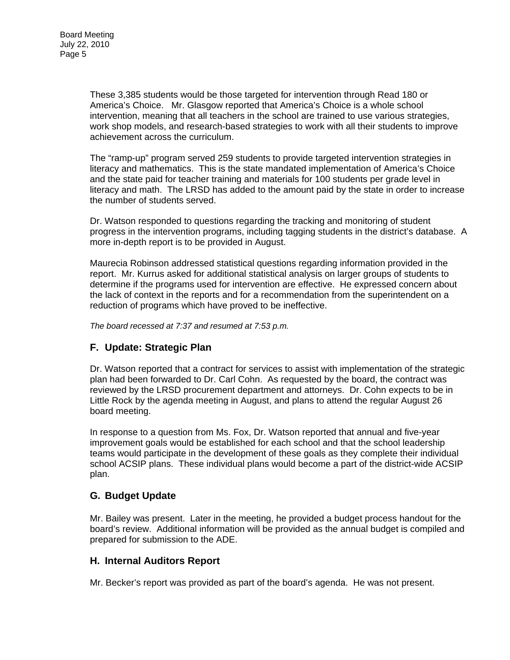These 3,385 students would be those targeted for intervention through Read 180 or America's Choice. Mr. Glasgow reported that America's Choice is a whole school intervention, meaning that all teachers in the school are trained to use various strategies, work shop models, and research-based strategies to work with all their students to improve achievement across the curriculum.

The "ramp-up" program served 259 students to provide targeted intervention strategies in literacy and mathematics. This is the state mandated implementation of America's Choice and the state paid for teacher training and materials for 100 students per grade level in literacy and math. The LRSD has added to the amount paid by the state in order to increase the number of students served.

Dr. Watson responded to questions regarding the tracking and monitoring of student progress in the intervention programs, including tagging students in the district's database. A more in-depth report is to be provided in August.

Maurecia Robinson addressed statistical questions regarding information provided in the report. Mr. Kurrus asked for additional statistical analysis on larger groups of students to determine if the programs used for intervention are effective. He expressed concern about the lack of context in the reports and for a recommendation from the superintendent on a reduction of programs which have proved to be ineffective.

*The board recessed at 7:37 and resumed at 7:53 p.m.* 

# **F. Update: Strategic Plan**

Dr. Watson reported that a contract for services to assist with implementation of the strategic plan had been forwarded to Dr. Carl Cohn. As requested by the board, the contract was reviewed by the LRSD procurement department and attorneys. Dr. Cohn expects to be in Little Rock by the agenda meeting in August, and plans to attend the regular August 26 board meeting.

In response to a question from Ms. Fox, Dr. Watson reported that annual and five-year improvement goals would be established for each school and that the school leadership teams would participate in the development of these goals as they complete their individual school ACSIP plans. These individual plans would become a part of the district-wide ACSIP plan.

### **G. Budget Update**

Mr. Bailey was present. Later in the meeting, he provided a budget process handout for the board's review. Additional information will be provided as the annual budget is compiled and prepared for submission to the ADE.

### **H. Internal Auditors Report**

Mr. Becker's report was provided as part of the board's agenda. He was not present.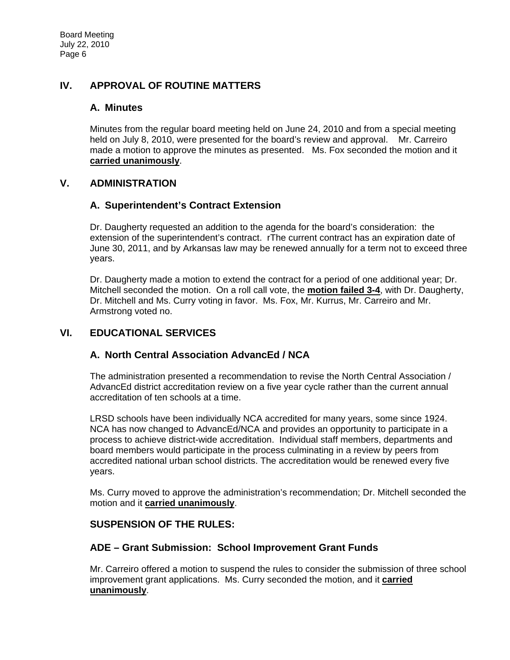# **IV. APPROVAL OF ROUTINE MATTERS**

#### **A. Minutes**

Minutes from the regular board meeting held on June 24, 2010 and from a special meeting held on July 8, 2010, were presented for the board's review and approval. Mr. Carreiro made a motion to approve the minutes as presented. Ms. Fox seconded the motion and it **carried unanimously**.

#### **V. ADMINISTRATION**

### **A. Superintendent's Contract Extension**

Dr. Daugherty requested an addition to the agenda for the board's consideration: the extension of the superintendent's contract. rThe current contract has an expiration date of June 30, 2011, and by Arkansas law may be renewed annually for a term not to exceed three years.

Dr. Daugherty made a motion to extend the contract for a period of one additional year; Dr. Mitchell seconded the motion. On a roll call vote, the **motion failed 3-4**, with Dr. Daugherty, Dr. Mitchell and Ms. Curry voting in favor. Ms. Fox, Mr. Kurrus, Mr. Carreiro and Mr. Armstrong voted no.

### **VI. EDUCATIONAL SERVICES**

### **A. North Central Association AdvancEd / NCA**

The administration presented a recommendation to revise the North Central Association / AdvancEd district accreditation review on a five year cycle rather than the current annual accreditation of ten schools at a time.

LRSD schools have been individually NCA accredited for many years, some since 1924. NCA has now changed to AdvancEd/NCA and provides an opportunity to participate in a process to achieve district-wide accreditation. Individual staff members, departments and board members would participate in the process culminating in a review by peers from accredited national urban school districts. The accreditation would be renewed every five years.

Ms. Curry moved to approve the administration's recommendation; Dr. Mitchell seconded the motion and it **carried unanimously**.

#### **SUSPENSION OF THE RULES:**

### **ADE – Grant Submission: School Improvement Grant Funds**

Mr. Carreiro offered a motion to suspend the rules to consider the submission of three school improvement grant applications. Ms. Curry seconded the motion, and it **carried unanimously**.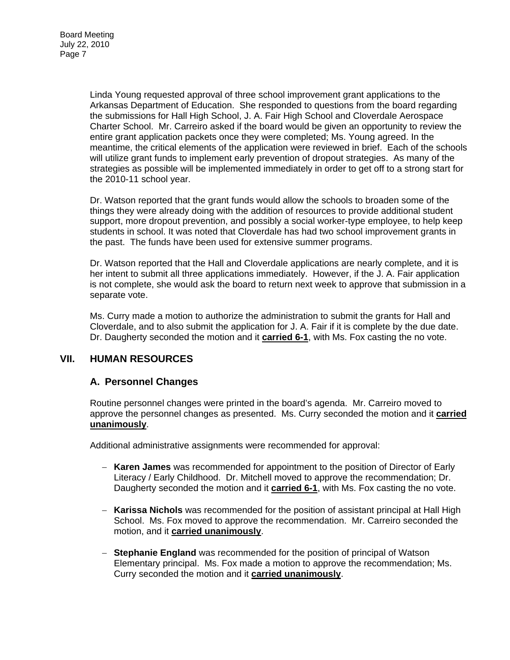Linda Young requested approval of three school improvement grant applications to the Arkansas Department of Education. She responded to questions from the board regarding the submissions for Hall High School, J. A. Fair High School and Cloverdale Aerospace Charter School. Mr. Carreiro asked if the board would be given an opportunity to review the entire grant application packets once they were completed; Ms. Young agreed. In the meantime, the critical elements of the application were reviewed in brief. Each of the schools will utilize grant funds to implement early prevention of dropout strategies. As many of the strategies as possible will be implemented immediately in order to get off to a strong start for the 2010-11 school year.

Dr. Watson reported that the grant funds would allow the schools to broaden some of the things they were already doing with the addition of resources to provide additional student support, more dropout prevention, and possibly a social worker-type employee, to help keep students in school. It was noted that Cloverdale has had two school improvement grants in the past. The funds have been used for extensive summer programs.

Dr. Watson reported that the Hall and Cloverdale applications are nearly complete, and it is her intent to submit all three applications immediately. However, if the J. A. Fair application is not complete, she would ask the board to return next week to approve that submission in a separate vote.

Ms. Curry made a motion to authorize the administration to submit the grants for Hall and Cloverdale, and to also submit the application for J. A. Fair if it is complete by the due date. Dr. Daugherty seconded the motion and it **carried 6-1**, with Ms. Fox casting the no vote.

### **VII. HUMAN RESOURCES**

# **A. Personnel Changes**

Routine personnel changes were printed in the board's agenda. Mr. Carreiro moved to approve the personnel changes as presented. Ms. Curry seconded the motion and it **carried unanimously**.

Additional administrative assignments were recommended for approval:

- − **Karen James** was recommended for appointment to the position of Director of Early Literacy / Early Childhood. Dr. Mitchell moved to approve the recommendation; Dr. Daugherty seconded the motion and it **carried 6-1**, with Ms. Fox casting the no vote.
- − **Karissa Nichols** was recommended for the position of assistant principal at Hall High School. Ms. Fox moved to approve the recommendation. Mr. Carreiro seconded the motion, and it **carried unanimously**.
- − **Stephanie England** was recommended for the position of principal of Watson Elementary principal. Ms. Fox made a motion to approve the recommendation; Ms. Curry seconded the motion and it **carried unanimously**.